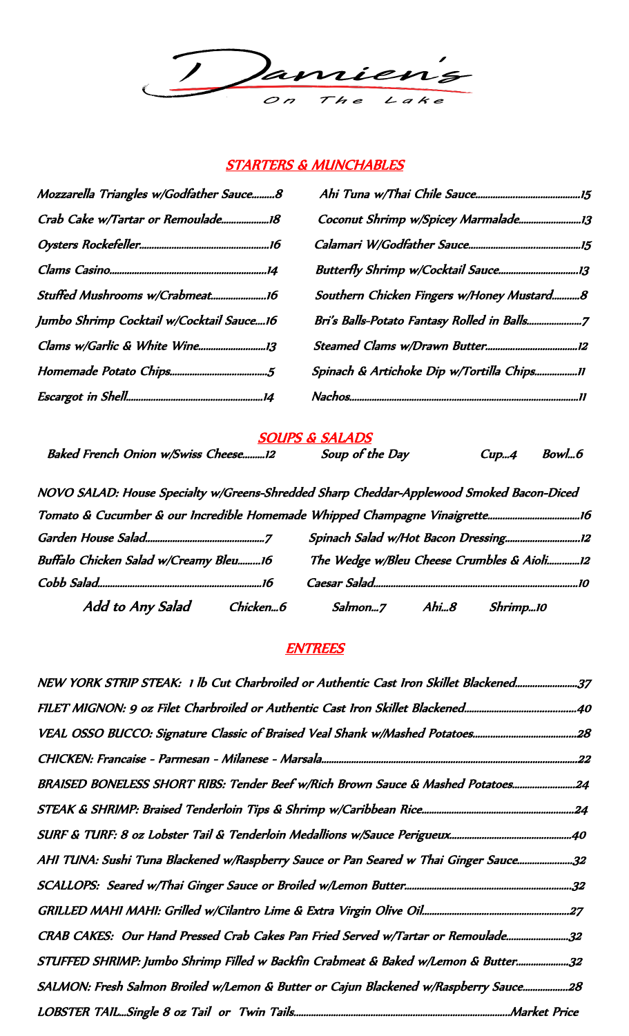

### STARTERS & MUNCHABLES

| Mozzarella Triangles w/Godfather Sauce8  |                                           |
|------------------------------------------|-------------------------------------------|
|                                          |                                           |
|                                          |                                           |
|                                          |                                           |
|                                          | Southern Chicken Fingers w/Honey Mustard8 |
| Jumbo Shrimp Cocktail w/Cocktail Sauce16 |                                           |
|                                          |                                           |
|                                          | Spinach & Artichoke Dip w/Tortilla Chips  |
|                                          |                                           |

## SOUPS & SALADS

Baked French Onion w/Swiss Cheese.........12 Soup of the Day Cup...4 Bowl...6

| Add to Any Salad<br>Chicken6                                                             | Salmon7 | Ahi8 | Shrimp10                                   |  |
|------------------------------------------------------------------------------------------|---------|------|--------------------------------------------|--|
|                                                                                          |         |      |                                            |  |
| Buffalo Chicken Salad w/Creamy Bleu16                                                    |         |      | The Wedge w/Bleu Cheese Crumbles & Aioli12 |  |
|                                                                                          |         |      |                                            |  |
|                                                                                          |         |      |                                            |  |
| NOVO SALAD: House Specialty w/Greens-Shredded Sharp Cheddar-Applewood Smoked Bacon-Diced |         |      |                                            |  |

### **ENTREES**

| NEW YORK STRIP STEAK: 1 lb Cut Charbroiled or Authentic Cast Iron Skillet Blackened37 |
|---------------------------------------------------------------------------------------|
|                                                                                       |
|                                                                                       |
|                                                                                       |
| BRAISED BONELESS SHORT RIBS: Tender Beef w/Rich Brown Sauce & Mashed Potatoes24       |
|                                                                                       |
|                                                                                       |
| AHI TUNA: Sushi Tuna Blackened w/Raspberry Sauce or Pan Seared w Thai Ginger Sauce32  |
|                                                                                       |
|                                                                                       |
| CRAB CAKES: Our Hand Pressed Crab Cakes Pan Fried Served w/Tartar or Remoulade32      |
| STUFFED SHRIMP: Jumbo Shrimp Filled w Backfin Crabmeat & Baked w/Lemon & Butter32     |
| SALMON: Fresh Salmon Broiled w/Lemon & Butter or Cajun Blackened w/Raspberry Sauce28  |
|                                                                                       |